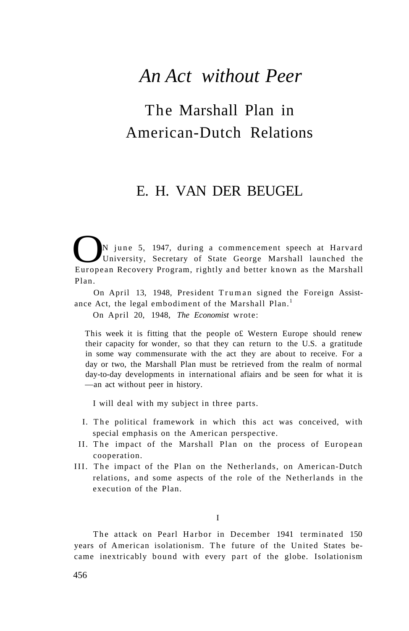## *An Act without Peer*

## The Marshall Plan in American-Dutch Relations

### E. H. VAN DER BEUGEL

N june 5, 1947, during a commencement speech at Harvard<br>University, Secretary of State George Marshall launched the<br>European Recovery Program, rightly and better known as the Marshall University, Secretary of State George Marshall launched the European Recovery Program, rightly and better known as the Marshall Plan.

On April 13, 1948, President Truman signed the Foreign Assistance Act, the legal embodiment of the Marshall Plan.<sup>1</sup>

On April 20, 1948, *The Economist* wrote:

This week it is fitting that the people o£ Western Europe should renew their capacity for wonder, so that they can return to the U.S. a gratitude in some way commensurate with the act they are about to receive. For a day or two, the Marshall Plan must be retrieved from the realm of normal day-to-day developments in international afïairs and be seen for what it is —an act without peer in history.

I will deal with my subject in three parts.

- I. The political framework in which this act was conceived, with special emphasis on the American perspective.
- II. The impact of the Marshall Plan on the process of European cooperation.
- III. The impact of the Plan on the Netherlands, on American-Dutch relations, and some aspects of the role of the Netherlands in the execution of the Plan.

I

The attack on Pearl Harbor in December 1941 terminated 150 years of American isolationism. The future of the United States became inextricably bound with every part of the globe. Isolationism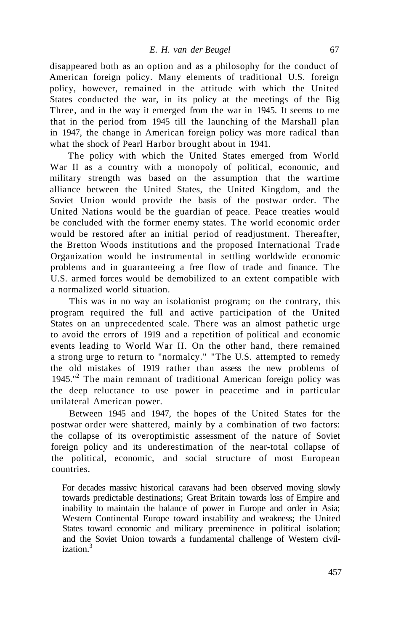disappeared both as an option and as a philosophy for the conduct of American foreign policy. Many elements of traditional U.S. foreign policy, however, remained in the attitude with which the United States conducted the war, in its policy at the meetings of the Big Three, and in the way it emerged from the war in 1945. It seems to me that in the period from 1945 till the launching of the Marshall plan in 1947, the change in American foreign policy was more radical than what the shock of Pearl Harbor brought about in 1941.

The policy with which the United States emerged from World War II as a country with a monopoly of political, economic, and military strength was based on the assumption that the wartime alliance between the United States, the United Kingdom, and the Soviet Union would provide the basis of the postwar order. The United Nations would be the guardian of peace. Peace treaties would be concluded with the former enemy states. The world economic order would be restored after an initial period of readjustment. Thereafter, the Bretton Woods institutions and the proposed International Trade Organization would be instrumental in settling worldwide economic problems and in guaranteeing a free flow of trade and finance. The U.S. armed forces would be demobilized to an extent compatible with a normalized world situation.

This was in no way an isolationist program; on the contrary, this program required the full and active participation of the United States on an unprecedented scale. There was an almost pathetic urge to avoid the errors of 1919 and a repetition of political and economic events leading to World War II. On the other hand, there remained a strong urge to return to "normalcy." "The U.S. attempted to remedy the old mistakes of 1919 rather than assess the new problems of 1945."<sup>2</sup> The main remnant of traditional American foreign policy was the deep reluctance to use power in peacetime and in particular unilateral American power.

Between 1945 and 1947, the hopes of the United States for the postwar order were shattered, mainly by a combination of two factors: the collapse of its overoptimistic assessment of the nature of Soviet foreign policy and its underestimation of the near-total collapse of the political, economic, and social structure of most European countries.

For decades massivc historical caravans had been observed moving slowly towards predictable destinations; Great Britain towards loss of Empire and inability to maintain the balance of power in Europe and order in Asia; Western Continental Europe toward instability and weakness; the United States toward economic and military preeminence in political isolation; and the Soviet Union towards a fundamental challenge of Western civilization.<sup>3</sup>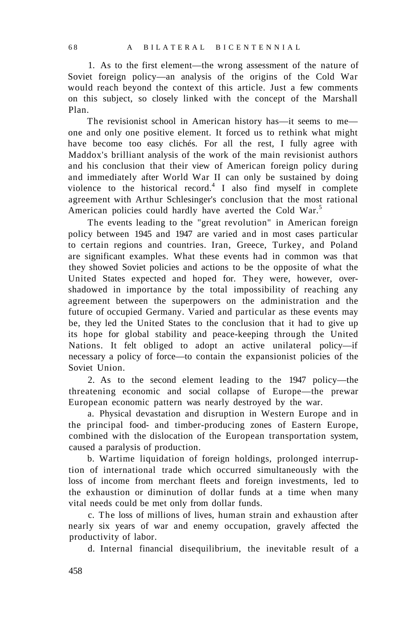1. As to the first element—the wrong assessment of the nature of Soviet foreign policy—an analysis of the origins of the Cold War would reach beyond the context of this article. Just a few comments on this subject, so closely linked with the concept of the Marshall Plan.

The revisionist school in American history has—it seems to me one and only one positive element. It forced us to rethink what might have become too easy clichés. For all the rest, I fully agree with Maddox's brilliant analysis of the work of the main revisionist authors and his conclusion that their view of American foreign policy during and immediately after World War II can only be sustained by doing violence to the historical record.<sup>4</sup> I also find myself in complete agreement with Arthur Schlesinger's conclusion that the most rational American policies could hardly have averted the Cold War.<sup>5</sup>

The events leading to the "great revolution" in American foreign policy between 1945 and 1947 are varied and in most cases particular to certain regions and countries. Iran, Greece, Turkey, and Poland are significant examples. What these events had in common was that they showed Soviet policies and actions to be the opposite of what the United States expected and hoped for. They were, however, overshadowed in importance by the total impossibility of reaching any agreement between the superpowers on the administration and the future of occupied Germany. Varied and particular as these events may be, they led the United States to the conclusion that it had to give up its hope for global stability and peace-keeping through the United Nations. It felt obliged to adopt an active unilateral policy—if necessary a policy of force—to contain the expansionist policies of the Soviet Union.

2. As to the second element leading to the 1947 policy—the threatening economic and social collapse of Europe—the prewar European economic pattern was nearly destroyed by the war.

a. Physical devastation and disruption in Western Europe and in the principal food- and timber-producing zones of Eastern Europe, combined with the dislocation of the European transportation system, caused a paralysis of production.

b. Wartime liquidation of foreign holdings, prolonged interruption of international trade which occurred simultaneously with the loss of income from merchant fleets and foreign investments, led to the exhaustion or diminution of dollar funds at a time when many vital needs could be met only from dollar funds.

c. The loss of millions of lives, human strain and exhaustion after nearly six years of war and enemy occupation, gravely affected the productivity of labor.

d. Internal financial disequilibrium, the inevitable result of a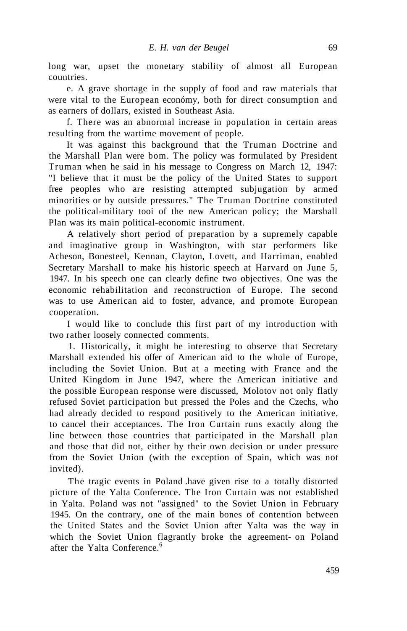long war, upset the monetary stability of almost all European countries.

e. A grave shortage in the supply of food and raw materials that were vital to the European económy, both for direct consumption and as earners of dollars, existed in Southeast Asia.

f. There was an abnormal increase in population in certain areas resulting from the wartime movement of people.

It was against this background that the Truman Doctrine and the Marshall Plan were bom. The policy was formulated by President Truman when he said in his message to Congress on March 12, 1947: "I believe that it must be the policy of the United States to support free peoples who are resisting attempted subjugation by armed minorities or by outside pressures." The Truman Doctrine constituted the political-military tooi of the new American policy; the Marshall Plan was its main political-economic instrument.

A relatively short period of preparation by a supremely capable and imaginative group in Washington, with star performers like Acheson, Bonesteel, Kennan, Clayton, Lovett, and Harriman, enabled Secretary Marshall to make his historic speech at Harvard on June 5, 1947. In his speech one can clearly define two objectives. One was the economic rehabilitation and reconstruction of Europe. The second was to use American aid to foster, advance, and promote European cooperation.

I would like to conclude this first part of my introduction with two rather loosely connected comments.

1. Historically, it might be interesting to observe that Secretary Marshall extended his offer of American aid to the whole of Europe, including the Soviet Union. But at a meeting with France and the United Kingdom in June 1947, where the American initiative and the possible European response were discussed, Molotov not only flatly refused Soviet participation but pressed the Poles and the Czechs, who had already decided to respond positively to the American initiative, to cancel their acceptances. The Iron Curtain runs exactly along the line between those countries that participated in the Marshall plan and those that did not, either by their own decision or under pressure from the Soviet Union (with the exception of Spain, which was not invited).

The tragic events in Poland .have given rise to a totally distorted picture of the Yalta Conference. The Iron Curtain was not established in Yalta. Poland was not "assigned" to the Soviet Union in February 1945. On the contrary, one of the main bones of contention between the United States and the Soviet Union after Yalta was the way in which the Soviet Union flagrantly broke the agreement- on Poland after the Yalta Conference.<sup>6</sup>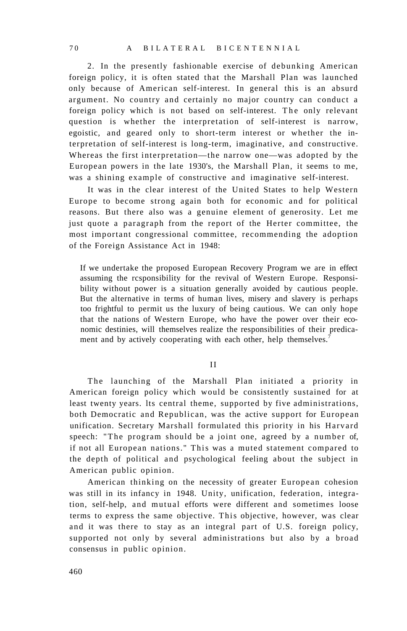2. In the presently fashionable exercise of debunking American foreign policy, it is often stated that the Marshall Plan was launched only because of American self-interest. In general this is an absurd argument. No country and certainly no major country can conduct a foreign policy which is not based on self-interest. The only relevant question is whether the interpretation of self-interest is narrow, egoistic, and geared only to short-term interest or whether the interpretation of self-interest is long-term, imaginative, and constructive. Whereas the first interpretation—the narrow one—was adopted by the European powers in the late 1930's, the Marshall Plan, it seems to me, was a shining example of constructive and imaginative self-interest.

It was in the clear interest of the United States to help Western Europe to become strong again both for economic and for political reasons. But there also was a genuine element of generosity. Let me just quote a paragraph from the report of the Herter committee, the most important congressional committee, recommending the adoption of the Foreign Assistance Act in 1948:

If we undertake the proposed European Recovery Program we are in effect assuming the rcsponsibility for the revival of Western Europe. Responsibility without power is a situation generally avoided by cautious people. But the alternative in terms of human lives, misery and slavery is perhaps too frightful to permit us the luxury of being cautious. We can only hope that the nations of Western Europe, who have the power over their economic destinies, will themselves realize the responsibilities of their predicament and by actively cooperating with each other, help themselves.<sup>7</sup>

#### II

The launching of the Marshall Plan initiated a priority in American foreign policy which would be consistently sustained for at least twenty years. lts central theme, supported by five administrations, both Democratic and Republican, was the active support for European unification. Secretary Marshall formulated this priority in his Harvard speech: "The program should be a joint one, agreed by a number of, if not all European nations." This was a muted statement compared to the depth of political and psychological feeling about the subject in American public opinion.

American thinking on the necessity of greater European cohesion was still in its infancy in 1948. Unity, unification, federation, integration, self-help, and mutual efforts were different and sometimes loose terms to express the same objective. This objective, however, was clear and it was there to stay as an integral part of U.S. foreign policy, supported not only by several administrations but also by a broad consensus in public opinion.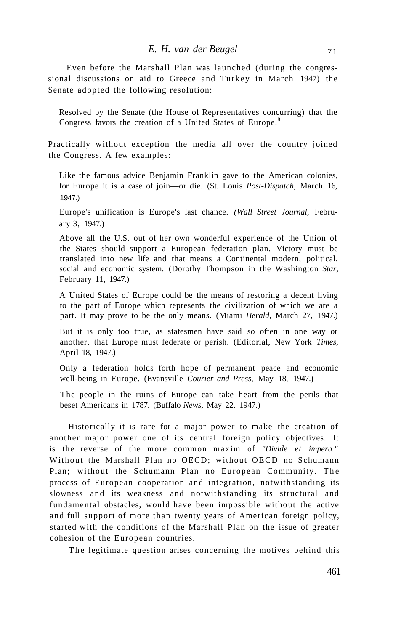Even before the Marshall Plan was launched (during the congressional discussions on aid to Greece and Turkey in March 1947) the Senate adopted the following resolution:

Resolved by the Senate (the House of Representatives concurring) that the Congress favors the creation of a United States of Europe.<sup>8</sup>

Practically without exception the media all over the country joined the Congress. A few examples:

Like the famous advice Benjamin Franklin gave to the American colonies, for Europe it is a case of join—or die. (St. Louis *Post-Dispatch,* March 16, 1947.)

Europe's unification is Europe's last chance. *(Wall Street Journal,* February 3, 1947.)

Above all the U.S. out of her own wonderful experience of the Union of the States should support a European federation plan. Victory must be translated into new life and that means a Continental modern, political, social and economic system. (Dorothy Thompson in the Washington *Star,*  February 11, 1947.)

A United States of Europe could be the means of restoring a decent living to the part of Europe which represents the civilization of which we are a part. It may prove to be the only means. (Miami *Herald,* March 27, 1947.)

But it is only too true, as statesmen have said so often in one way or another, that Europe must federate or perish. (Editorial, New York *Times,*  April 18, 1947.)

Only a federation holds forth hope of permanent peace and economic well-being in Europe. (Evansville *Courier and Press,* May 18, 1947.)

The people in the ruins of Europe can take heart from the perils that beset Americans in 1787. (Buffalo *News,* May 22, 1947.)

Historically it is rare for a major power to make the creation of another major power one of its central foreign policy objectives. It is the reverse of the more common maxim of *"Divide et impera."*  Without the Marshall Plan no OECD; without OECD no Schumann Plan; without the Schumann Plan no European Community. The process of European cooperation and integration, notwithstanding its slowness and its weakness and notwithstanding its structural and fundamental obstacles, would have been impossible without the active and full support of more than twenty years of American foreign policy, started with the conditions of the Marshall Plan on the issue of greater cohesion of the European countries.

The legitimate question arises concerning the motives behind this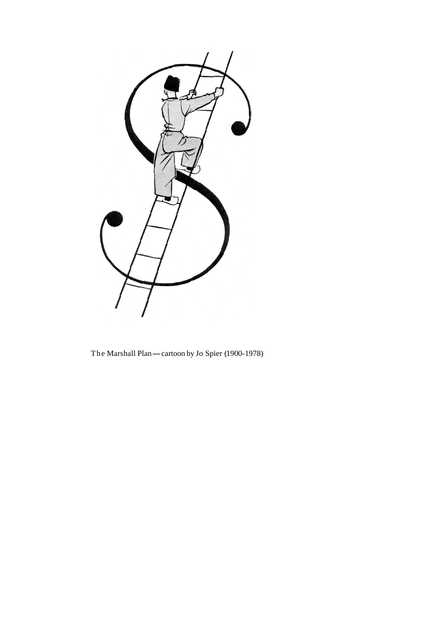

The Marshall Plan-cartoon by Jo Spier (1900-1978)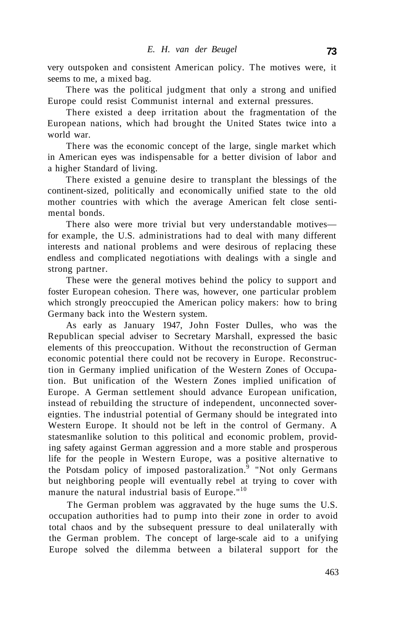very outspoken and consistent American policy. The motives were, it seems to me, a mixed bag.

There was the political judgment that only a strong and unified Europe could resist Communist internal and external pressures.

There existed a deep irritation about the fragmentation of the European nations, which had brought the United States twice into a world war.

There was the economic concept of the large, single market which in American eyes was indispensable for a better division of labor and a higher Standard of living.

There existed a genuine desire to transplant the blessings of the continent-sized, politically and economically unified state to the old mother countries with which the average American felt close sentimental bonds.

There also were more trivial but very understandable motives for example, the U.S. administrations had to deal with many different interests and national problems and were desirous of replacing these endless and complicated negotiations with dealings with a single and strong partner.

These were the general motives behind the policy to support and foster European cohesion. There was, however, one particular problem which strongly preoccupied the American policy makers: how to bring Germany back into the Western system.

As early as January 1947, John Foster Dulles, who was the Republican special adviser to Secretary Marshall, expressed the basic elements of this preoccupation. Without the reconstruction of German economic potential there could not be recovery in Europe. Reconstruction in Germany implied unification of the Western Zones of Occupation. But unification of the Western Zones implied unification of Europe. A German settlement should advance European unification, instead of rebuilding the structure of independent, unconnected sovereignties. The industrial potential of Germany should be integrated into Western Europe. It should not be left in the control of Germany. A statesmanlike solution to this political and economic problem, providing safety against German aggression and a more stable and prosperous life for the people in Western Europe, was a positive alternative to the Potsdam policy of imposed pastoralization.<sup>9</sup> "Not only Germans but neighboring people will eventually rebel at trying to cover with manure the natural industrial basis of Europe."<sup>10</sup>

The German problem was aggravated by the huge sums the U.S. occupation authorities had to pump into their zone in order to avoid total chaos and by the subsequent pressure to deal unilaterally with the German problem. The concept of large-scale aid to a unifying Europe solved the dilemma between a bilateral support for the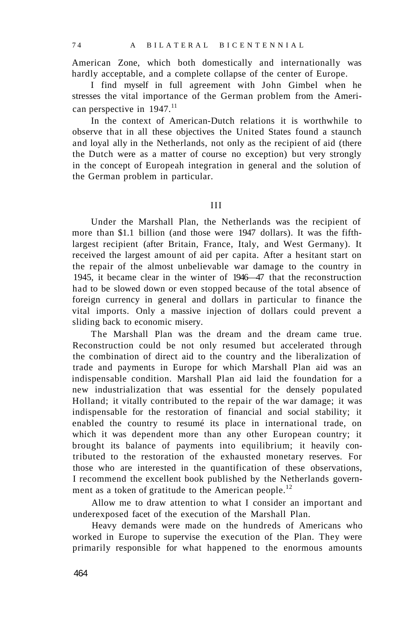American Zone, which both domestically and internationally was hardly acceptable, and a complete collapse of the center of Europe.

I find myself in full agreement with John Gimbel when he stresses the vital importance of the German problem from the American perspective in  $1947$ .<sup>11</sup>

In the context of American-Dutch relations it is worthwhile to observe that in all these objectives the United States found a staunch and loyal ally in the Netherlands, not only as the recipient of aid (there the Dutch were as a matter of course no exception) but very strongly in the concept of Europeah integration in general and the solution of the German problem in particular.

III

Under the Marshall Plan, the Netherlands was the recipient of more than \$1.1 billion (and those were 1947 dollars). It was the fifthlargest recipient (after Britain, France, Italy, and West Germany). It received the largest amount of aid per capita. After a hesitant start on the repair of the almost unbelievable war damage to the country in 1945, it became clear in the winter of 1946—47 that the reconstruction had to be slowed down or even stopped because of the total absence of foreign currency in general and dollars in particular to finance the vital imports. Only a massive injection of dollars could prevent a sliding back to economic misery.

The Marshall Plan was the dream and the dream came true. Reconstruction could be not only resumed but accelerated through the combination of direct aid to the country and the liberalization of trade and payments in Europe for which Marshall Plan aid was an indispensable condition. Marshall Plan aid laid the foundation for a new industrialization that was essential for the densely populated Holland; it vitally contributed to the repair of the war damage; it was indispensable for the restoration of financial and social stability; it enabled the country to resumé its place in international trade, on which it was dependent more than any other European country; it brought its balance of payments into equilibrium; it heavily contributed to the restoration of the exhausted monetary reserves. For those who are interested in the quantification of these observations, I recommend the excellent book published by the Netherlands government as a token of gratitude to the American people.<sup>12</sup>

Allow me to draw attention to what I consider an important and underexposed facet of the execution of the Marshall Plan.

Heavy demands were made on the hundreds of Americans who worked in Europe to supervise the execution of the Plan. They were primarily responsible for what happened to the enormous amounts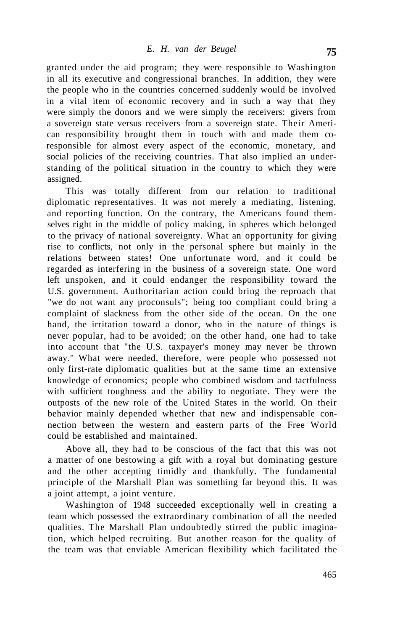granted under the aid program; they were responsible to Washington in all its executive and congressional branches. In addition, they were the people who in the countries concerned suddenly would be involved in a vital item of economic recovery and in such a way that they were simply the donors and we were simply the receivers: givers from a sovereign state versus receivers from a sovereign state. Their American responsibility brought them in touch with and made them coresponsible for almost every aspect of the economic, monetary, and social policies of the receiving countries. That also implied an understanding of the political situation in the country to which they were assigned.

This was totally different from our relation to traditional diplomatic representatives. It was not merely a mediating, listening, and reporting function. On the contrary, the Americans found themselves right in the middle of policy making, in spheres which belonged to the privacy of national sovereignty. What an opportunity for giving rise to conflicts, not only in the personal sphere but mainly in the relations between states! One unfortunate word, and it could be regarded as interfering in the business of a sovereign state. One word left unspoken, and it could endanger the responsibility toward the U.S. government. Authoritarian action could bring the reproach that "we do not want any proconsuls"; being too compliant could bring a complaint of slackness from the other side of the ocean. On the one hand, the irritation toward a donor, who in the nature of things is never popular, had to be avoided; on the other hand, one had to take into account that "the U.S. taxpayer's money may never be thrown away." What were needed, therefore, were people who possessed not only first-rate diplomatic qualities but at the same time an extensive knowledge of economics; people who combined wisdom and tactfulness with sufficient toughness and the ability to negotiate. They were the outposts of the new role of the United States in the world. On their behavior mainly depended whether that new and indispensable connection between the western and eastern parts of the Free World could be established and maintained.

Above all, they had to be conscious of the fact that this was not a matter of one bestowing a gift with a royal but dominating gesture and the other accepting timidly and thankfully. The fundamental principle of the Marshall Plan was something far beyond this. It was a joint attempt, a joint venture.

Washington of 1948 succeeded exceptionally well in creating a team which possessed the extraordinary combination of all the needed qualities. The Marshall Plan undoubtedly stirred the public imagination, which helped recruiting. But another reason for the quality of the team was that enviable American flexibility which facilitated the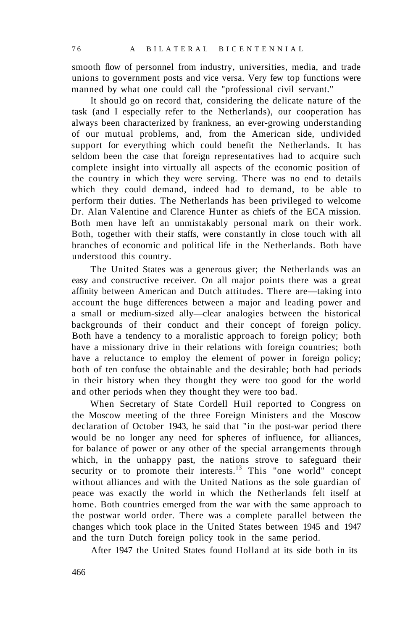smooth flow of personnel from industry, universities, media, and trade unions to government posts and vice versa. Very few top functions were manned by what one could call the "professional civil servant."

It should go on record that, considering the delicate nature of the task (and I especially refer to the Netherlands), our cooperation has always been characterized by frankness, an ever-growing understanding of our mutual problems, and, from the American side, undivided support for everything which could benefit the Netherlands. It has seldom been the case that foreign representatives had to acquire such complete insight into virtually all aspects of the economic position of the country in which they were serving. There was no end to details which they could demand, indeed had to demand, to be able to perform their duties. The Netherlands has been privileged to welcome Dr. Alan Valentine and Clarence Hunter as chiefs of the ECA mission. Both men have left an unmistakably personal mark on their work. Both, together with their staffs, were constantly in close touch with all branches of economic and political life in the Netherlands. Both have understood this country.

The United States was a generous giver; the Netherlands was an easy and constructive receiver. On all major points there was a great affinity between American and Dutch attitudes. There are—taking into account the huge differences between a major and leading power and a small or medium-sized ally—clear analogies between the historical backgrounds of their conduct and their concept of foreign policy. Both have a tendency to a moralistic approach to foreign policy; both have a missionary drive in their relations with foreign countries; both have a reluctance to employ the element of power in foreign policy; both of ten confuse the obtainable and the desirable; both had periods in their history when they thought they were too good for the world and other periods when they thought they were too bad.

When Secretary of State Cordell Huil reported to Congress on the Moscow meeting of the three Foreign Ministers and the Moscow declaration of October 1943, he said that "in the post-war period there would be no longer any need for spheres of influence, for alliances, for balance of power or any other of the special arrangements through which, in the unhappy past, the nations strove to safeguard their security or to promote their interests.<sup>13</sup> This "one world" concept without alliances and with the United Nations as the sole guardian of peace was exactly the world in which the Netherlands felt itself at home. Both countries emerged from the war with the same approach to the postwar world order. There was a complete parallel between the changes which took place in the United States between 1945 and 1947 and the turn Dutch foreign policy took in the same period.

After 1947 the United States found Holland at its side both in its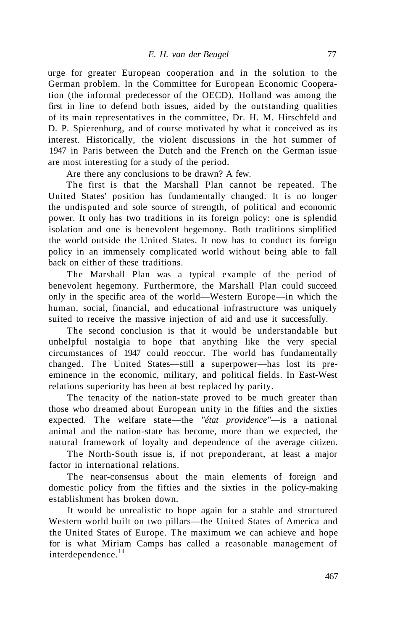urge for greater European cooperation and in the solution to the German problem. In the Committee for European Economic Cooperation (the informal predecessor of the OECD), Holland was among the first in line to defend both issues, aided by the outstanding qualities of its main representatives in the committee, Dr. H. M. Hirschfeld and D. P. Spierenburg, and of course motivated by what it conceived as its interest. Historically, the violent discussions in the hot summer of 1947 in Paris between the Dutch and the French on the German issue are most interesting for a study of the period.

Are there any conclusions to be drawn? A few.

The first is that the Marshall Plan cannot be repeated. The United States' position has fundamentally changed. It is no longer the undisputed and sole source of strength, of political and economic power. It only has two traditions in its foreign policy: one is splendid isolation and one is benevolent hegemony. Both traditions simplified the world outside the United States. It now has to conduct its foreign policy in an immensely complicated world without being able to fall back on either of these traditions.

The Marshall Plan was a typical example of the period of benevolent hegemony. Furthermore, the Marshall Plan could succeed only in the specific area of the world—Western Europe—in which the human, social, financial, and educational infrastructure was uniquely suited to receive the massive injection of aid and use it successfully.

The second conclusion is that it would be understandable but unhelpful nostalgia to hope that anything like the very special circumstances of 1947 could reoccur. The world has fundamentally changed. The United States—still a superpower—has lost its preeminence in the economic, military, and political fields. In East-West relations superiority has been at best replaced by parity.

The tenacity of the nation-state proved to be much greater than those who dreamed about European unity in the fifties and the sixties expected. The welfare state—the *"état providence"*—is a national animal and the nation-state has become, more than we expected, the natural framework of loyalty and dependence of the average citizen.

The North-South issue is, if not preponderant, at least a major factor in international relations.

The near-consensus about the main elements of foreign and domestic policy from the fifties and the sixties in the policy-making establishment has broken down.

It would be unrealistic to hope again for a stable and structured Western world built on two pillars—the United States of America and the United States of Europe. The maximum we can achieve and hope for is what Miriam Camps has called a reasonable management of interdependence.<sup>14</sup>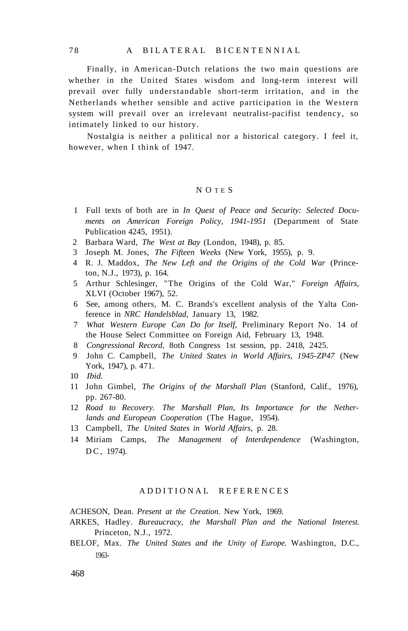Finally, in American-Dutch relations the two main questions are whether in the United States wisdom and long-term interest will prevail over fully understandable short-term irritation, and in the Netherlands whether sensible and active participation in the Western system will prevail over an irrelevant neutralist-pacifist tendency, so intimately linked to our history.

Nostalgia is neither a political nor a historical category. I feel it, however, when I think of 1947.

#### N O T E S

- 1 Full texts of both are in *In Quest of Peace and Security: Selected Documents on American Foreign Policy, 1941-1951* (Department of State Publication 4245, 1951).
- 2 Barbara Ward, *The West at Bay* (London, 1948), p. 85.
- 3 Joseph M. Jones, *The Fifteen Weeks* (New York, 1955), p. 9.
- 4 R. J. Maddox, *The New Left and the Origins of the Cold War* (Princeton, N.J., 1973), p. 164.
- 5 Arthur Schlesinger, "The Origins of the Cold War," *Foreign Affairs,*  XLVI (October 1967), 52.
- 6 See, among others, M. C. Brands's excellent analysis of the Yalta Conference in *NRC Handelsblad,* January 13, 1982.
- 7 *What Western Europe Can Do for Itself,* Preliminary Report No. 14 of the House Select Committee on Foreign Aid, February 13, 1948.
- 8 *Congressional Record,* 8oth Congress 1st session, pp. 2418, 2425.
- 9 John C. Campbell, *The United States in World Affairs, 1945-ZP47* (New York, 1947), p. 471.
- 10 *Ibid.*
- 11 John Gimbel, *The Origins of the Marshall Plan* (Stanford, Calif., 1976), pp. 267-80.
- 12 *Road to Recovery. The Marshall Plan, Its Importance for the Netherlands and European Cooperation* (The Hague, 1954).
- 13 Campbell, *The United States in World Affairs,* p. 28.
- 14 Miriam Camps, *The Management of Interdependence* (Washington, D C, 1974).

#### ADDITIONAL REFERENCES

ACHESON, Dean. *Present at the Creation.* New York, 1969.

- ARKES, Hadley. *Bureaucracy, the Marshall Plan and the National Interest.*  Princeton, N.J., 1972.
- BELOF, Max. *The United States and the Unity of Europe.* Washington, D.C., 1963-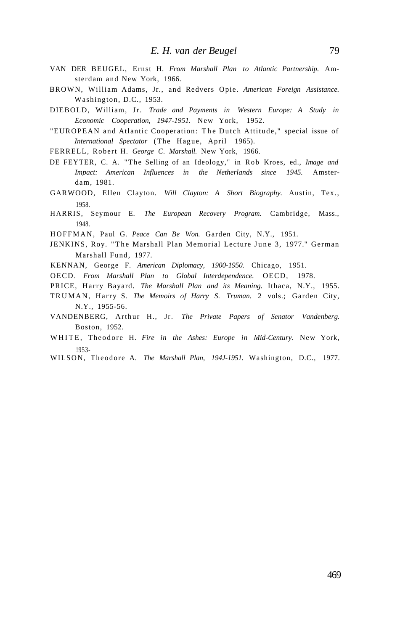- VAN DER BEUGEL, Ernst H. *From Marshall Plan to Atlantic Partnership.* Amsterdam and New York, 1966.
- BROWN, William Adams, Jr., and Redvers Opie. *American Foreign Assistance.*  Washington, D.C., 1953.
- DIEBOLD, William, Jr. *Trade and Payments in Western Europe: A Study in Economic Cooperation, 1947-1951.* New York, 1952.
- "EUROPEAN and Atlantic Cooperation: The Dutch Attitude," special issue of *International Spectator* (The Hague, April 1965).

FERRELL, Robert H. George C. Marshall. New York, 1966.

- DE FEYTER, C. A. "The Selling of an Ideology," in Rob Kroes, ed., *Image and Impact: American Influences in the Netherlands since 1945.* Amsterdam, 1981.
- GARWOOD, Ellen Clayton. *Will Clayton: A Short Biography.* Austin, Tex., 1958.
- HARRIS, Seymour E. *The European Recovery Program.* Cambridge, Mass., 1948.

HOFFMAN, Paul G. Peace Can Be Won. Garden City, N.Y., 1951.

- JENKINS, Roy. "The Marshall Plan Memorial Lecture June 3, 1977." German Marshall Fund, 1977.
- KENNAN, George F. *American Diplomacy, 1900-1950.* Chicago, 1951.

OECD. *From Marshall Plan to Global Interdependence.* OECD, 1978.

- PRICE, Harry Bayard. *The Marshall Plan and its Meaning.* Ithaca, N.Y., 1955.
- TRUMAN, Harry S. The Memoirs of Harry S. Truman. 2 vols.; Garden City, N.Y., 1955-56.
- VANDENBERG, Arthur H., Jr. *The Private Papers of Senator Vandenberg.*  Boston, 1952.
- WHITE, Theodore H. Fire in the Ashes: Europe in Mid-Century. New York, !953-
- WILSON, Theodore A. The Marshall Plan, 194J-1951. Washington, D.C., 1977.